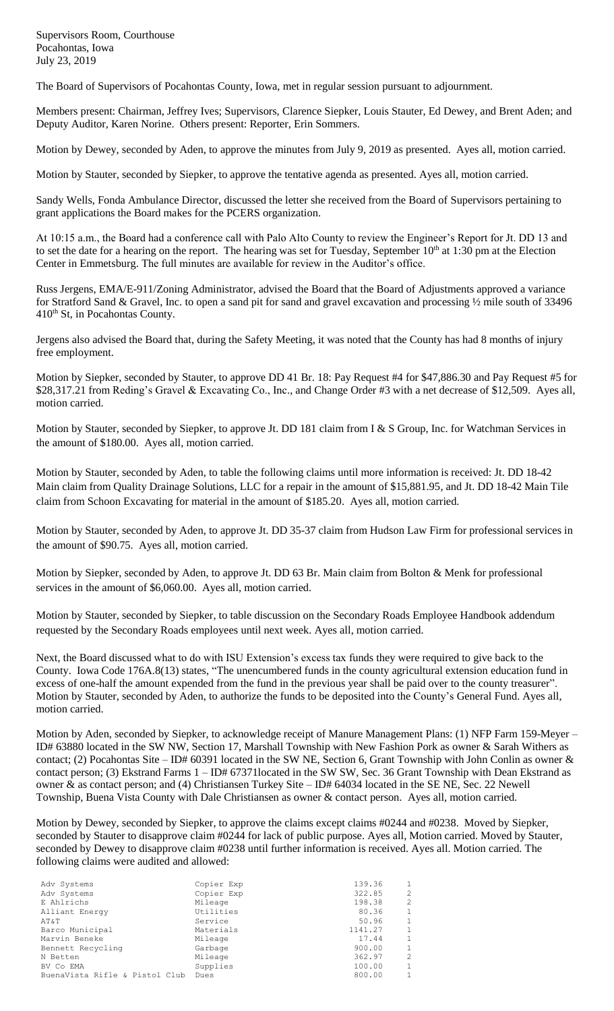Supervisors Room, Courthouse Pocahontas, Iowa July 23, 2019

The Board of Supervisors of Pocahontas County, Iowa, met in regular session pursuant to adjournment.

Members present: Chairman, Jeffrey Ives; Supervisors, Clarence Siepker, Louis Stauter, Ed Dewey, and Brent Aden; and Deputy Auditor, Karen Norine. Others present: Reporter, Erin Sommers.

Motion by Dewey, seconded by Aden, to approve the minutes from July 9, 2019 as presented. Ayes all, motion carried.

Motion by Stauter, seconded by Siepker, to approve the tentative agenda as presented. Ayes all, motion carried.

Sandy Wells, Fonda Ambulance Director, discussed the letter she received from the Board of Supervisors pertaining to grant applications the Board makes for the PCERS organization.

At 10:15 a.m., the Board had a conference call with Palo Alto County to review the Engineer's Report for Jt. DD 13 and to set the date for a hearing on the report. The hearing was set for Tuesday, September  $10<sup>th</sup>$  at 1:30 pm at the Election Center in Emmetsburg. The full minutes are available for review in the Auditor's office.

Russ Jergens, EMA/E-911/Zoning Administrator, advised the Board that the Board of Adjustments approved a variance for Stratford Sand & Gravel, Inc. to open a sand pit for sand and gravel excavation and processing ½ mile south of 33496 410<sup>th</sup> St, in Pocahontas County.

Jergens also advised the Board that, during the Safety Meeting, it was noted that the County has had 8 months of injury free employment.

Motion by Siepker, seconded by Stauter, to approve DD 41 Br. 18: Pay Request #4 for \$47,886.30 and Pay Request #5 for \$28,317.21 from Reding's Gravel & Excavating Co., Inc., and Change Order #3 with a net decrease of \$12,509. Ayes all, motion carried.

Motion by Stauter, seconded by Siepker, to approve Jt. DD 181 claim from I & S Group, Inc. for Watchman Services in the amount of \$180.00. Ayes all, motion carried.

Motion by Stauter, seconded by Aden, to table the following claims until more information is received: Jt. DD 18-42 Main claim from Quality Drainage Solutions, LLC for a repair in the amount of \$15,881.95, and Jt. DD 18-42 Main Tile claim from Schoon Excavating for material in the amount of \$185.20. Ayes all, motion carried.

Motion by Stauter, seconded by Aden, to approve Jt. DD 35-37 claim from Hudson Law Firm for professional services in the amount of \$90.75. Ayes all, motion carried.

Motion by Siepker, seconded by Aden, to approve Jt. DD 63 Br. Main claim from Bolton & Menk for professional services in the amount of \$6,060.00. Ayes all, motion carried.

Motion by Stauter, seconded by Siepker, to table discussion on the Secondary Roads Employee Handbook addendum requested by the Secondary Roads employees until next week. Ayes all, motion carried.

Next, the Board discussed what to do with ISU Extension's excess tax funds they were required to give back to the County. Iowa Code 176A.8(13) states, "The unencumbered funds in the county agricultural extension education fund in excess of one-half the amount expended from the fund in the previous year shall be paid over to the county treasurer". Motion by Stauter, seconded by Aden, to authorize the funds to be deposited into the County's General Fund. Ayes all, motion carried.

Motion by Aden, seconded by Siepker, to acknowledge receipt of Manure Management Plans: (1) NFP Farm 159-Meyer – ID# 63880 located in the SW NW, Section 17, Marshall Township with New Fashion Pork as owner & Sarah Withers as contact; (2) Pocahontas Site – ID# 60391 located in the SW NE, Section 6, Grant Township with John Conlin as owner & contact person; (3) Ekstrand Farms 1 – ID# 67371located in the SW SW, Sec. 36 Grant Township with Dean Ekstrand as owner & as contact person; and (4) Christiansen Turkey Site – ID# 64034 located in the SE NE, Sec. 22 Newell Township, Buena Vista County with Dale Christiansen as owner & contact person. Ayes all, motion carried.

Motion by Dewey, seconded by Siepker, to approve the claims except claims #0244 and #0238. Moved by Siepker, seconded by Stauter to disapprove claim #0244 for lack of public purpose. Ayes all, Motion carried. Moved by Stauter, seconded by Dewey to disapprove claim #0238 until further information is received. Ayes all. Motion carried. The following claims were audited and allowed:

| Adv Systems                    | Copier Exp | 139.36  |                |
|--------------------------------|------------|---------|----------------|
| Adv Systems                    | Copier Exp | 322.85  | $\mathfrak{D}$ |
| E Ahlrichs                     | Mileage    | 198.38  | $\mathfrak{D}$ |
| Alliant Energy                 | Utilities  | 80.36   | $\mathbf{1}$   |
| AT&T                           | Service    | 50.96   |                |
| Barco Municipal                | Materials  | 1141.27 |                |
| Marvin Beneke                  | Mileage    | 17.44   | $\mathbf{1}$   |
| Bennett Recycling              | Garbage    | 900.00  |                |
| N Betten                       | Mileage    | 362.97  | $\mathcal{L}$  |
| BV Co EMA                      | Supplies   | 100.00  |                |
| BuenaVista Rifle & Pistol Club | Dues       | 800.00  |                |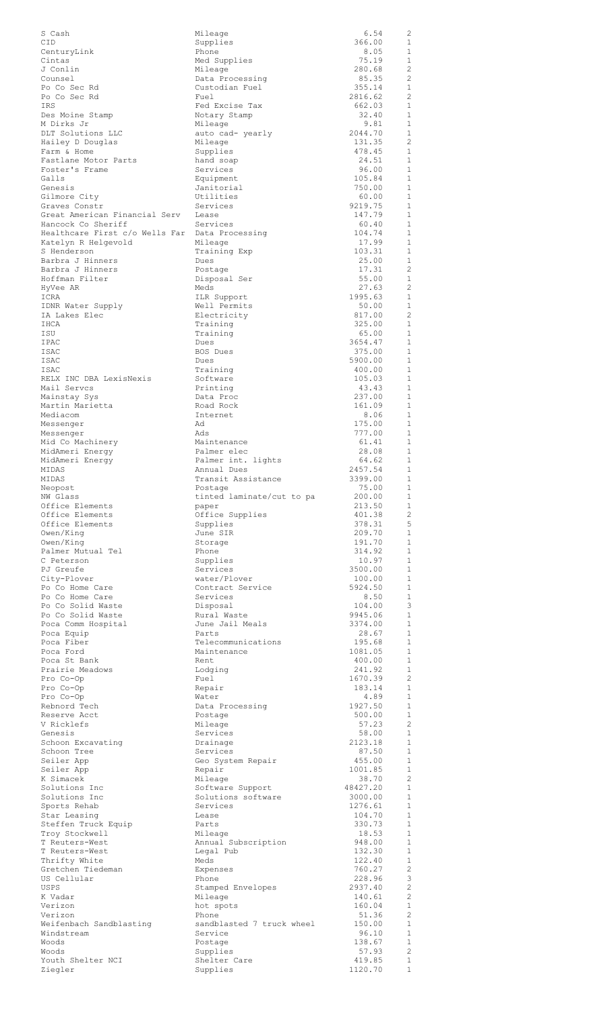| S Cash                         | Mileage                   | 6.54     | 2                     |
|--------------------------------|---------------------------|----------|-----------------------|
| CID                            | Supplies                  | 366.00   | $\mathbf{1}$          |
| CenturyLink                    | Phone                     | 8.05     | 1                     |
| Cintas                         |                           | 75.19    | $\mathbf{1}$          |
| J Conlin                       | Med Supplies<br>Mileage   | 280.68   | $\mathbf{2}$          |
| Counsel                        | Data Processing           | 85.35    | 2                     |
| Po Co Sec Rd                   | Custodian Fuel            | 355.14   | $\mathbf{1}$          |
| Po Co Sec Rd                   | Fuel                      | 2816.62  | $\mathbf{2}$          |
| IRS                            | Fed Excise Tax            | 662.03   | 1                     |
| Des Moine Stamp                | Notary Stamp              | 32.40    | $\mathbf{1}$          |
| M Dirks Jr                     | Mileage                   | 9.81     | $\mathbf{1}$          |
| DLT Solutions LLC              | auto cad- yearly          | 2044.70  | 1                     |
| Hailey D Douglas               | Mileage                   | 131.35   | 2                     |
| Farm & Home                    | Supplies                  | 478.45   | 1                     |
| Fastlane Motor Parts           | hand soap                 | 24.51    | 1                     |
| Foster's Frame                 | Services                  | 96.00    | $\mathbf{1}$          |
| Galls                          | Equipment                 | 105.84   | 1                     |
| Genesis                        | Janitorial                | 750.00   | 1                     |
| Gilmore City                   | Utilities                 | 60.00    | 1                     |
| Graves Constr                  | Services                  | 9219.75  | 1                     |
| Great American Financial Serv  | Lease                     | 147.79   | 1                     |
| Hancock Co Sheriff             | Services                  | 60.40    | $\mathbf{1}$          |
| Healthcare First c/o Wells Far | Data Processing           | 104.74   | $\mathbf{1}$          |
| Katelyn R Helgevold            | Mileage                   | 17.99    | $\mathbf{1}$          |
| S Henderson                    | Training Exp              | 103.31   | 1                     |
| Barbra J Hinners               | Dues                      | 25.00    | $\mathbf{1}$          |
| Barbra J Hinners               | Postage                   | 17.31    | 2                     |
| Hoffman Filter                 | Disposal Ser              | 55.00    | 1                     |
| HyVee AR                       | Meds                      | 27.63    | 2                     |
| ICRA                           | ILR Support               | 1995.63  | $\mathbf{1}$          |
| IDNR Water Supply              | Well Permits              | 50.00    | $\mathbf{1}$          |
| IA Lakes Elec                  | Electricity               | 817.00   | $\mathbf{2}$          |
| IHCA                           | Training                  | 325.00   | $\mathbf{1}$          |
| ISU                            | Training                  | 65.00    | $\mathbf{1}$          |
| IPAC                           | Dues                      | 3654.47  | $\mathbf{1}$          |
| ISAC                           | BOS Dues                  | 375.00   | $\mathbf{1}$          |
| ISAC                           | Dues                      | 5900.00  | 1                     |
| ISAC                           | Training                  | 400.00   | $\mathbf{1}$          |
| RELX INC DBA LexisNexis        | Software                  | 105.03   | $\mathbf{1}$          |
| Mail Servcs                    | Printing                  | 43.43    | $\mathbf{1}$          |
| Mainstay Sys                   | Data Proc                 | 237.00   | $\mathbf{1}$          |
| Martin Marietta                | Road Rock                 | 161.09   | $\mathbf{1}$          |
| Mediacom                       | Internet                  | 8.06     | $\mathbf{1}$          |
| Messenger                      | Ad                        | 175.00   | $\mathbf{1}$          |
| Messenger                      | Ads                       | 777.00   | 1                     |
| Mid Co Machinery               | Maintenance               | 61.41    | $\mathbf{1}$          |
| MidAmeri Energy                | Palmer elec               | 28.08    | $\mathbf{1}$          |
| MidAmeri Energy                | Palmer int. lights        | 64.62    | $\mathbf{1}$          |
| MIDAS                          | Annual Dues               | 2457.54  | $\mathbf{1}$          |
| MIDAS                          | Transit Assistance        | 3399.00  | $\mathbf{1}$          |
| Neopost                        | Postage                   | 75.00    | 1                     |
| NW Glass                       | tinted laminate/cut to pa | 200.00   | $\mathbf{1}$          |
| Office Elements                | paper                     | 213.50   | $\mathbf{1}$          |
| Office Elements                | Office Supplies           | 401.38   | $\mathbf{2}^{\prime}$ |
| Office Elements                | Supplies                  | 378.31   | 5                     |
| Owen/King                      | June SIR                  | 209.70   | $\mathbf{1}$          |
| Owen/King                      | Storage                   | 191.70   | $\mathbf{1}$          |
| Palmer Mutual Tel              | Phone                     | 314.92   | $\mathbf{1}$          |
| C Peterson                     | Supplies                  | 10.97    | $\mathbf{1}$          |
| PJ Greufe                      | Services                  | 3500.00  | $\mathbf{1}$          |
| City-Plover                    | water/Plover              | 100.00   | 1                     |
| Po Co Home Care                | Contract Service          | 5924.50  | $\mathbf{1}$          |
| Po Co Home Care                | Services                  | 8.50     | $\mathbf{1}$          |
| Po Co Solid Waste              | Disposal                  | 104.00   | 3                     |
| Po Co Solid Waste              | Rural Waste               | 9945.06  | $\mathbf{1}$          |
| Poca Comm Hospital             | June Jail Meals           | 3374.00  | 1                     |
| Poca Equip                     | Parts                     | 28.67    | 1                     |
| Poca Fiber                     | Telecommunications        | 195.68   | $\mathbf{1}$          |
| Poca Ford                      | Maintenance               | 1081.05  | $\mathbf{1}$          |
| Poca St Bank                   | Rent                      | 400.00   | $\mathbf{1}$          |
| Prairie Meadows                | Lodging                   | 241.92   | $\mathbf{1}$          |
| Pro Co-Op                      | Fuel                      | 1670.39  | 2                     |
| Pro Co-Op                      | Repair                    | 183.14   | $\mathbf{1}$          |
| Pro Co-Op                      | Water                     | 4.89     | 1                     |
| Rebnord Tech                   | Data Processing           | 1927.50  | $\mathbf{1}$          |
| Reserve Acct                   | Postage                   | 500.00   | $\mathbf{1}$          |
| V Ricklefs                     | Mileage                   | 57.23    | 2<br>$\mathbf{1}$     |
| Genesis                        | Services                  | 58.00    | $\mathbf{1}$          |
| Schoon Excavating              | Drainage                  | 2123.18  |                       |
| Schoon Tree                    | Services                  | 87.50    | 1                     |
| Seiler App                     | Geo System Repair         | 455.00   | $\mathbf{1}$          |
| Seiler App                     | Repair                    | 1001.85  | $\mathbf{1}$          |
| K Simacek                      | Mileage                   | 38.70    | 2                     |
| Solutions Inc                  | Software Support          | 48427.20 | $\mathbf{1}$          |
| Solutions Inc                  | Solutions software        | 3000.00  | $\mathbf{1}$          |
| Sports Rehab                   | Services                  | 1276.61  | $\mathbf{1}$          |
| Star Leasing                   | Lease                     | 104.70   | $\mathbf{1}$          |
| Steffen Truck Equip            | Parts                     | 330.73   | $\mathbf{1}$          |
| Troy Stockwell                 | Mileage                   | 18.53    | $\mathbf{1}$          |
| T Reuters-West                 | Annual Subscription       | 948.00   | $\mathbf{1}$          |
| T Reuters-West                 | Legal Pub                 | 132.30   | $\mathbf{1}$          |
| Thrifty White                  | Meds                      | 122.40   | $\mathbf{1}$          |
| Gretchen Tiedeman              | Expenses                  | 760.27   | 2                     |
| US Cellular                    | Phone                     | 228.96   | 3                     |
| USPS                           | Stamped Envelopes         | 2937.40  | $\overline{c}$        |
| K Vadar                        | Mileage                   | 140.61   | $\overline{c}$        |
| Verizon                        | hot spots                 | 160.04   | $\mathbf{1}$          |
| Verizon                        | Phone                     | 51.36    | 2                     |
| Weifenbach Sandblasting        | sandblasted 7 truck wheel | 150.00   | $\mathbf{1}$          |
| Windstream                     | Service                   | 96.10    | 1                     |
| Woods                          | Postage                   | 138.67   | $\mathbf{1}$          |
| Woods                          | Supplies                  | 57.93    | $\overline{c}$        |
| Youth Shelter NCI              | Shelter Care              | 419.85   | $\mathbf{1}$          |
| Ziegler                        | Supplies                  | 1120.70  | $\mathbf{1}$          |